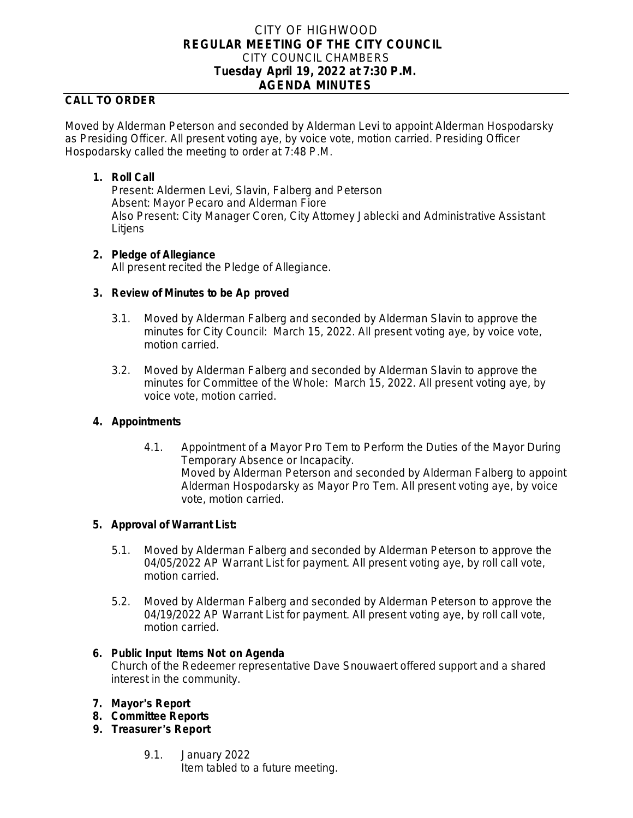# CITY OF HIGHWOOD **REGULAR MEETING OF THE CITY COUNCIL** CITY COUNCIL CHAMBERS **Tuesday April 19, 2022 at 7:30 P.M. AGENDA MINUTES**

# **CALL TO ORDER**

Moved by Alderman Peterson and seconded by Alderman Levi to appoint Alderman Hospodarsky as Presiding Officer. All present voting aye, by voice vote, motion carried. Presiding Officer Hospodarsky called the meeting to order at 7:48 P.M.

## **1. Roll Call**

Present: Aldermen Levi, Slavin, Falberg and Peterson Absent: Mayor Pecaro and Alderman Fiore Also Present: City Manager Coren, City Attorney Jablecki and Administrative Assistant **Litjens** 

## **2. Pledge of Allegiance**

All present recited the Pledge of Allegiance.

## **3. Review of Minutes to be Ap proved**

- 3.1. Moved by Alderman Falberg and seconded by Alderman Slavin to approve the minutes for City Council: March 15, 2022. All present voting aye, by voice vote, motion carried.
- 3.2. Moved by Alderman Falberg and seconded by Alderman Slavin to approve the minutes for Committee of the Whole: March 15, 2022. All present voting aye, by voice vote, motion carried.

## **4. Appointments**

4.1. Appointment of a Mayor Pro Tem to Perform the Duties of the Mayor During Temporary Absence or Incapacity. Moved by Alderman Peterson and seconded by Alderman Falberg to appoint Alderman Hospodarsky as Mayor Pro Tem. All present voting aye, by voice vote, motion carried.

## **5. Approval of Warrant List:**

- 5.1. Moved by Alderman Falberg and seconded by Alderman Peterson to approve the 04/05/2022 AP Warrant List for payment. All present voting aye, by roll call vote, motion carried.
- 5.2. Moved by Alderman Falberg and seconded by Alderman Peterson to approve the 04/19/2022 AP Warrant List for payment. All present voting aye, by roll call vote, motion carried.

#### **6. Public Input Items Not on Agenda**

Church of the Redeemer representative Dave Snouwaert offered support and a shared interest in the community.

## **7. Mayor**'**s Report**

- **8. Committee Reports**
- **9. Treasurer** '**s Report**
	- 9.1. January 2022 Item tabled to a future meeting.